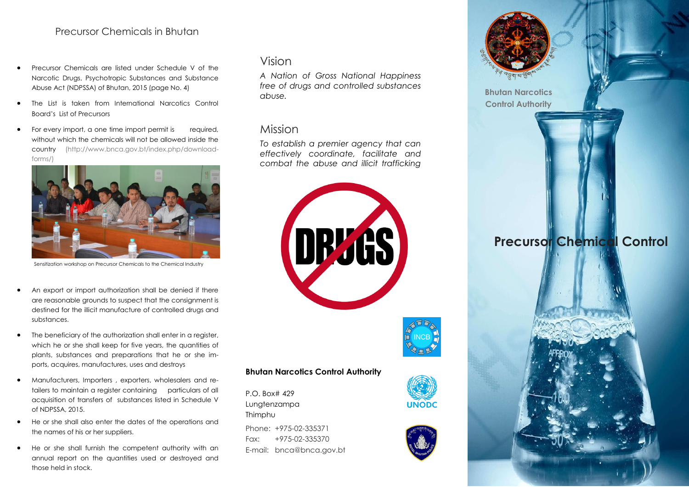### Precursor Chemicals in Bhutan

- Precursor Chemicals are listed under Schedule V of the Narcotic Drugs, Psychotropic Substances and Substance Abuse Act (NDPSSA) of Bhutan, 2015 (page No. 4)
- The List is taken from International Narcotics Control Board's List of Precursors
- For every import, a one time import permit is required, without which the chemicals will not be allowed inside the country (http://www.bnca.gov.bt/index.php/downloadforms/)



Sensitization workshop on Precursor Chemicals to the Chemical Industry

- An export or import authorization shall be denied if there are reasonable grounds to suspect that the consignment is destined for the illicit manufacture of controlled drugs and substances.
- The beneficiary of the authorization shall enter in a register, which he or she shall keep for five years, the quantities of plants, substances and preparations that he or she imports, acquires, manufactures, uses and destroys
- Manufacturers, Importers , exporters, wholesalers and retailers to maintain a register containing particulars of all acquisition of transfers of substances listed in Schedule V of NDPSSA, 2015.
- He or she shall also enter the dates of the operations and the names of his or her suppliers.
- He or she shall furnish the competent authority with an annual report on the quantities used or destroyed and those held in stock.

# Vision

*A Nation of Gross National Happiness free of drugs and controlled substances abuse.* 

#### Mission

*To establish a premier agency that can effectively coordinate, facilitate and combat the abuse and illicit trafficking* 





P.O. Box# 429 Lungtenzampa Thimphu

Phone: +975-02-335371 Fax: +975-02-335370 E-mail: bnca@bnca.gov.bt